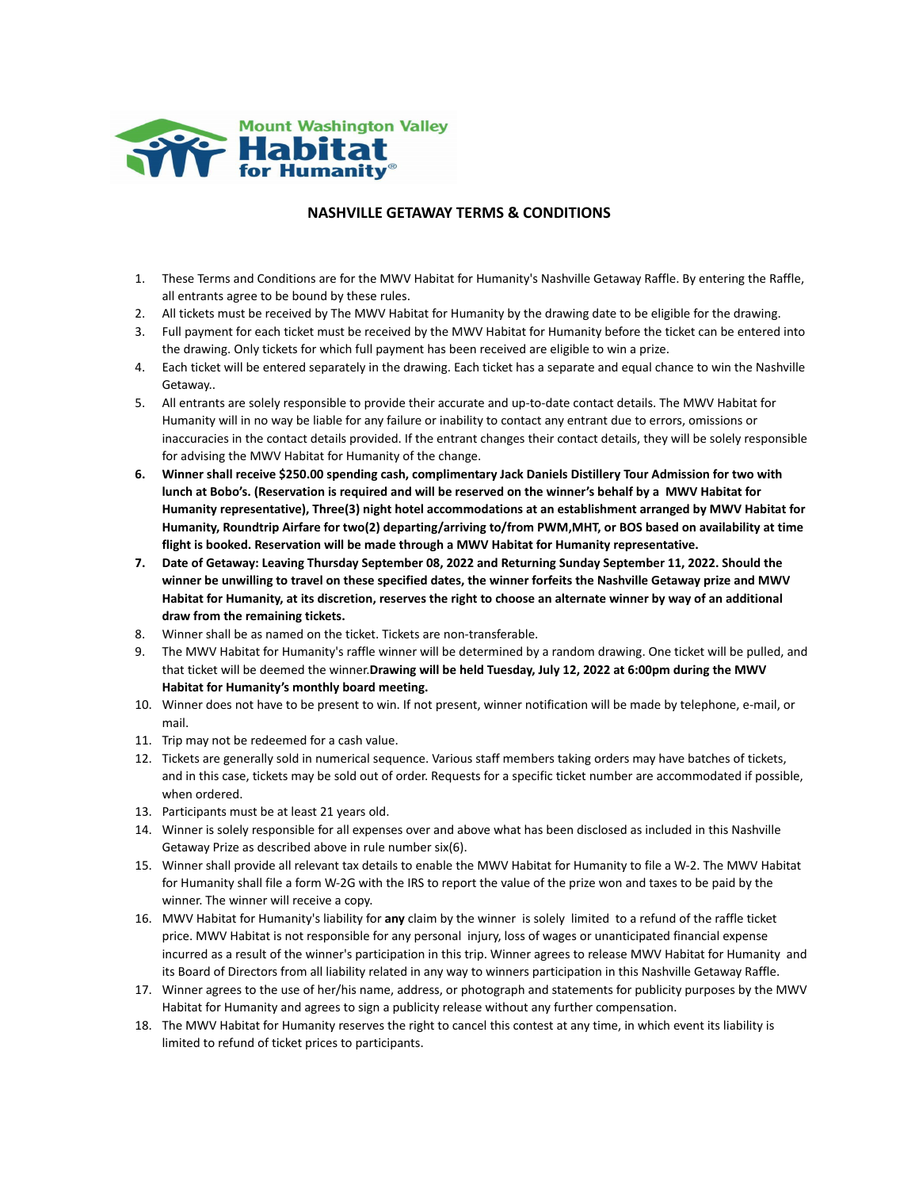

## **NASHVILLE GETAWAY TERMS & CONDITIONS**

- 1. These Terms and Conditions are for the MWV Habitat for Humanity's Nashville Getaway Raffle. By entering the Raffle, all entrants agree to be bound by these rules.
- 2. All tickets must be received by The MWV Habitat for Humanity by the drawing date to be eligible for the drawing.
- 3. Full payment for each ticket must be received by the MWV Habitat for Humanity before the ticket can be entered into the drawing. Only tickets for which full payment has been received are eligible to win a prize.
- 4. Each ticket will be entered separately in the drawing. Each ticket has a separate and equal chance to win the Nashville Getaway..
- 5. All entrants are solely responsible to provide their accurate and up-to-date contact details. The MWV Habitat for Humanity will in no way be liable for any failure or inability to contact any entrant due to errors, omissions or inaccuracies in the contact details provided. If the entrant changes their contact details, they will be solely responsible for advising the MWV Habitat for Humanity of the change.
- **6. Winner shall receive \$250.00 spending cash, complimentary Jack Daniels Distillery Tour Admission for two with lunch at Bobo's. (Reservation is required and will be reserved on the winner's behalf by a MWV Habitat for Humanity representative), Three(3) night hotel accommodations at an establishment arranged by MWV Habitat for Humanity, Roundtrip Airfare for two(2) departing/arriving to/from PWM,MHT, or BOS based on availability at time flight is booked. Reservation will be made through a MWV Habitat for Humanity representative.**
- **7. Date of Getaway: Leaving Thursday September 08, 2022 and Returning Sunday September 11, 2022. Should the winner be unwilling to travel on these specified dates, the winner forfeits the Nashville Getaway prize and MWV Habitat for Humanity, at its discretion, reserves the right to choose an alternate winner by way of an additional draw from the remaining tickets.**
- 8. Winner shall be as named on the ticket. Tickets are non-transferable.
- 9. The MWV Habitat for Humanity's raffle winner will be determined by a random drawing. One ticket will be pulled, and that ticket will be deemed the winner.**Drawing will be held Tuesday, July 12, 2022 at 6:00pm during the MWV Habitat for Humanity's monthly board meeting.**
- 10. Winner does not have to be present to win. If not present, winner notification will be made by telephone, e-mail, or mail.
- 11. Trip may not be redeemed for a cash value.
- 12. Tickets are generally sold in numerical sequence. Various staff members taking orders may have batches of tickets, and in this case, tickets may be sold out of order. Requests for a specific ticket number are accommodated if possible, when ordered.
- 13. Participants must be at least 21 years old.
- 14. Winner is solely responsible for all expenses over and above what has been disclosed as included in this Nashville Getaway Prize as described above in rule number six(6).
- 15. Winner shall provide all relevant tax details to enable the MWV Habitat for Humanity to file a W-2. The MWV Habitat for Humanity shall file a form W-2G with the IRS to report the value of the prize won and taxes to be paid by the winner. The winner will receive a copy.
- 16. MWV Habitat for Humanity's liability for **any** claim by the winner is solely limited to a refund of the raffle ticket price. MWV Habitat is not responsible for any personal injury, loss of wages or unanticipated financial expense incurred as a result of the winner's participation in this trip. Winner agrees to release MWV Habitat for Humanity and its Board of Directors from all liability related in any way to winners participation in this Nashville Getaway Raffle.
- 17. Winner agrees to the use of her/his name, address, or photograph and statements for publicity purposes by the MWV Habitat for Humanity and agrees to sign a publicity release without any further compensation.
- 18. The MWV Habitat for Humanity reserves the right to cancel this contest at any time, in which event its liability is limited to refund of ticket prices to participants.